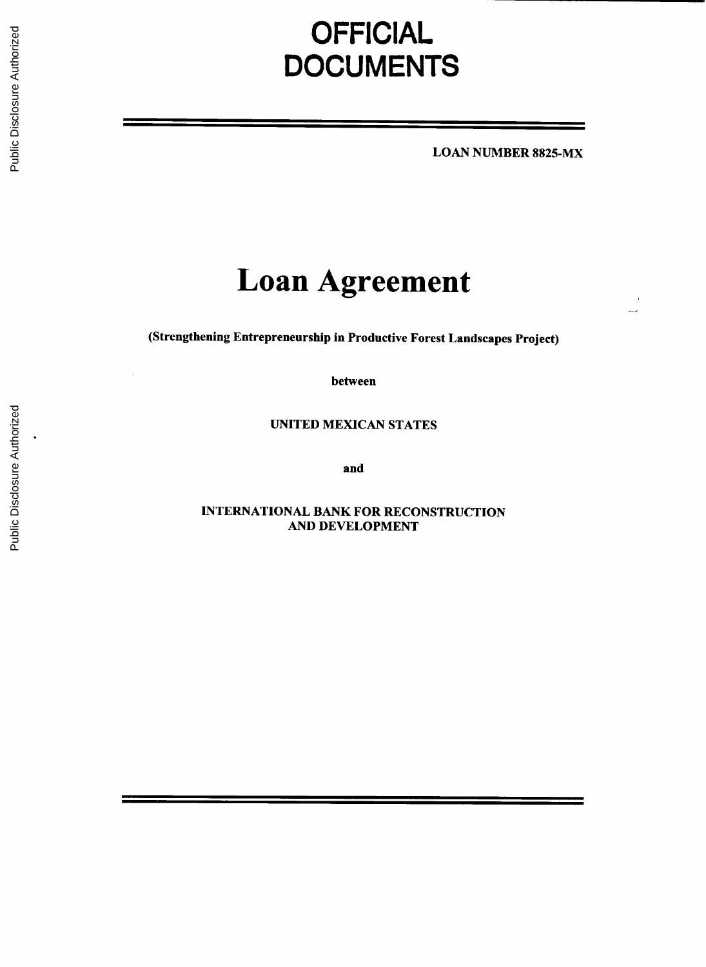# **OFFICIAL DOCUMENTS**

**LOAN NUMBER 8825-MX**

# **Loan Agreement**

(Strengthening Entrepreneurship in Productive Forest Landscapes Project)

between

**UNITED MEXICAN STATES**

and

**INTERNATIONAL** BANK FOR **RECONSTRUCTION AND DEVELOPMENT**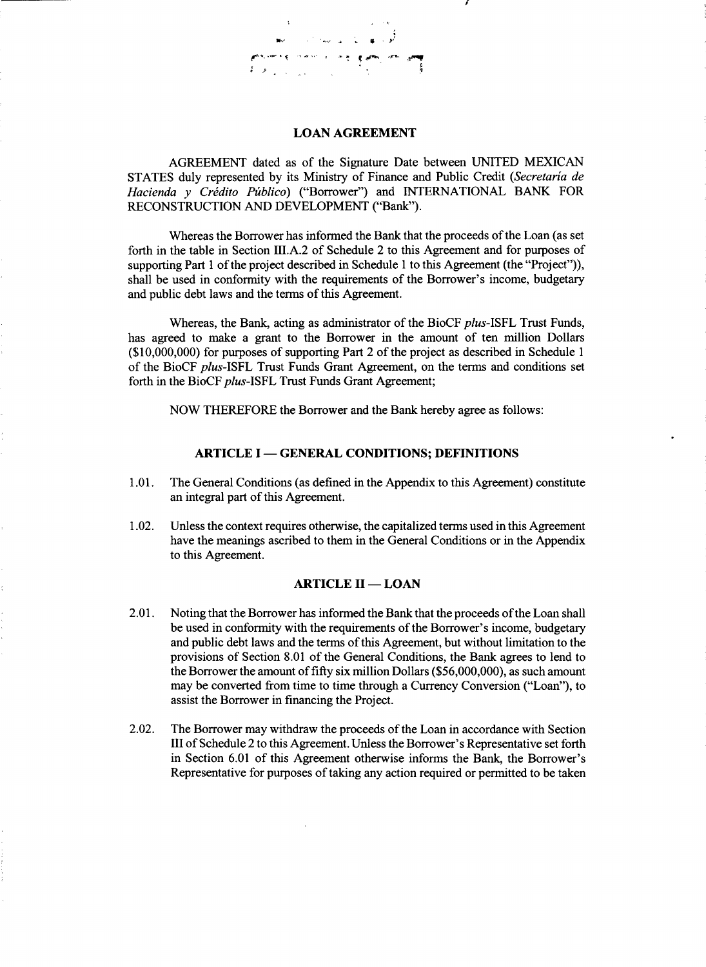**LOAN AGREEMENT**

**AGREEMENT** dated as of the Signature Date between **UNITED MEXICAN STATES** duly represented **by** its Ministry of Finance and Public Credit *(Secretaria de Hacienda* **y** *Cridito Pzblico)* ("Borrower") and **INTERNATIONAL** BANK FOR **RECONSTRUCTION AND DEVELOPMENT** ("Bank").

Whereas the Borrower has informed the Bank that the proceeds of the Loan (as set forth in the table in Section **III.A.2** of Schedule 2 to this Agreement and for purposes of supporting Part 1 of the project described in Schedule 1 to this Agreement (the "Project")), shall be used in conformity with the requirements of the Borrower's income, budgetary and public debt laws and the terms of this Agreement.

Whereas, the Bank, acting as administrator of the BioCF *plus-ISFL* Trust Funds, has agreed to make a grant to the Borrower in the amount of ten million Dollars **(\$10,000,000)** for purposes of supporting Part 2 of the project as described in Schedule **<sup>1</sup>** of the BioCF *plus-ISFL* Trust Funds Grant Agreement, on the terms and conditions set forth in the BioCF *plus-ISFL* Trust Funds Grant Agreement;

NOW THEREFORE the Borrower and the Bank hereby agree as follows:

#### **ARTICLE I - GENERAL CONDITIONS; DEFINITIONS**

- **1.01.** The General Conditions (as defined in the Appendix to this Agreement) constitute an integral part of this Agreement.
- 1.02. Unless the context requires otherwise, the capitalized terms used in this Agreement have the meanings ascribed to them in the General Conditions or in the Appendix to this Agreement.

#### **ARTICLE II - LOAN**

- 2.01. Noting that the Borrower has informed the Bank that the proceeds of the Loan shall be used in conformity with the requirements of the Borrower's income, budgetary and public debt laws and the terms of this Agreement, but without limitation to the provisions of Section **8.01** of the General Conditions, the Bank agrees to lend to the Borrower the amount of **fifty** six million Dollars *(\$56,000,000),* as such amount may be converted from time to time through a Currency Conversion ("Loan"), to assist the Borrower in financing the Project.
- 2.02. The Borrower may withdraw the proceeds of the Loan in accordance with Section **III** of Schedule 2 to this Agreement. Unless the Borrower's Representative set forth in Section **6.01** of this Agreement otherwise informs the Bank, the Borrower's Representative for purposes of taking any action required or permitted to be taken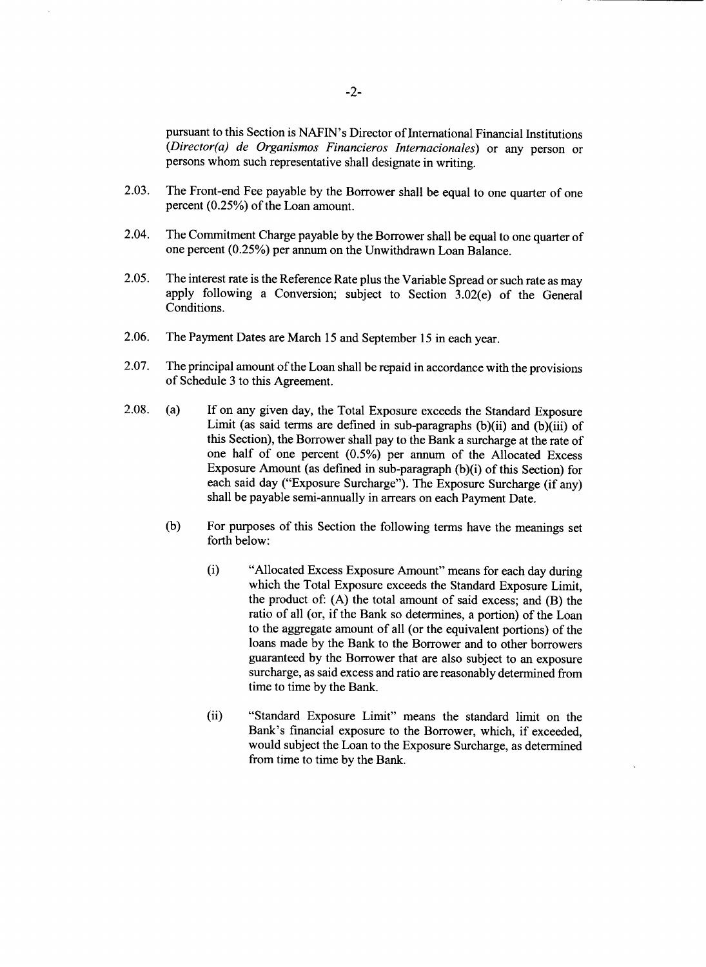pursuant to this Section is NAFIN's Director of International Financial Institutions *(Director(a) de Organismos Financieros Internacionales)* or any person or persons whom such representative shall designate in writing.

- **2.03.** The Front-end Fee payable **by** the Borrower shall be equal to one quarter of one percent *(0.25%)* of the Loan amount.
- 2.04. The Commitment Charge payable **by** the Borrower shall be equal to one quarter of one percent **(0.25%)** per annum on the Unwithdrawn Loan Balance.
- **2.05.** The interest rate is the Reference Rate plus the Variable Spread or such rate as may apply following a Conversion; subject to Section 3.02(e) of the General Conditions.
- **2.06.** The Payment Dates are March **15** and September **15** in each year.
- **2.07.** The principal amount of the Loan shall be repaid in accordance with the provisions of Schedule **3** to this Agreement.
- **2.08.** (a) **If** on any given day, the Total Exposure exceeds the Standard Exposure Limit (as said terms are defined in sub-paragraphs  $(b)(ii)$  and  $(b)(iii)$  of this Section), the Borrower shall pay to the Bank a surcharge at the rate of one half of one percent **(0.5%)** per annum of the Allocated Excess Exposure Amount (as defined in sub-paragraph (b)(i) of this Section) for each said day ("Exposure Surcharge"). The Exposure Surcharge (if any) shall be payable semi-annually in arrears on each Payment Date.
	- **(b)** For purposes of this Section the following terms have the meanings set forth below:
		- (i) "Allocated Excess Exposure Amount" means for each day during which the Total Exposure exceeds the Standard Exposure Limit, the product *of:* **(A)** the total amount of said excess; and (B) the ratio of all (or, if the Bank so determines, a portion) of the Loan to the aggregate amount of all (or the equivalent portions) of the loans made **by** the Bank to the Borrower and to other borrowers guaranteed **by** the Borrower that are also subject to an exposure surcharge, as said excess and ratio are reasonably determined from time to time **by** the Bank.
		- (ii) "Standard Exposure Limit" means the standard limit on the Bank's financial exposure to the Borrower, which, if exceeded, would subject the Loan to the Exposure Surcharge, as determined from time to time **by** the Bank.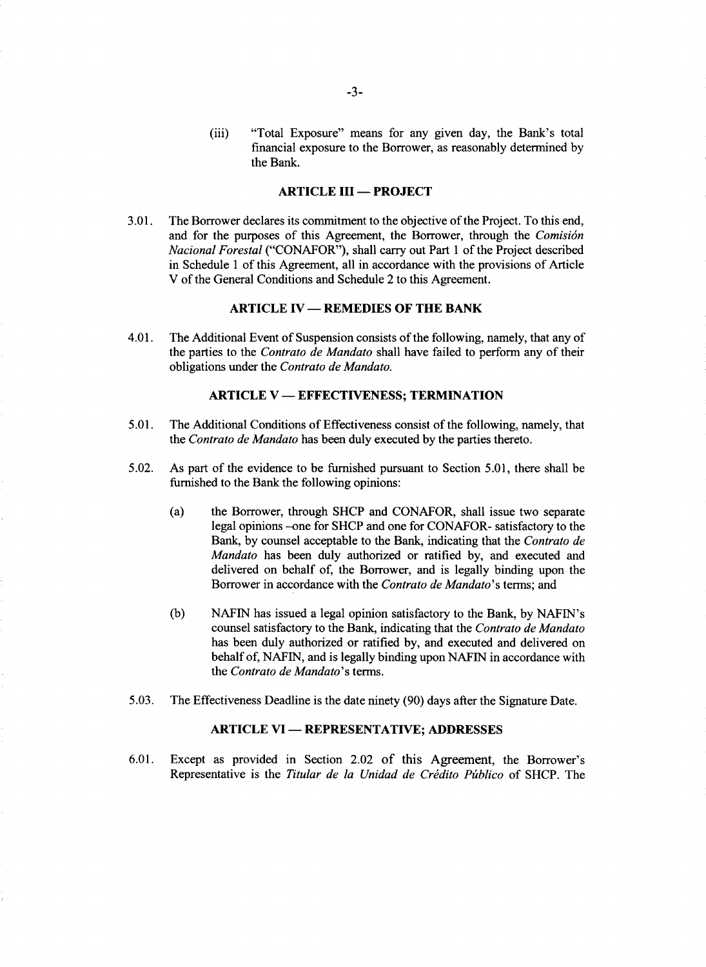(iii) "Total Exposure" means for any given day, the Bank's total financial exposure to the Borrower, as reasonably determined **by** the Bank.

#### **ARTICLE III - PROJECT**

**3.01.** The Borrower declares its commitment to the objective of the Project. To this end, and for the purposes of this Agreement, the Borrower, through the *Comisidn Nacional Forestal* **("CONAFOR"),** shall carry out Part 1 of the Project described in Schedule 1 of this Agreement, all in accordance with the provisions of Article V of the General Conditions and Schedule 2 to this Agreement.

# **ARTICLE IV - REMEDIES OF THE BANK**

4.01. The Additional Event of Suspension consists of the following, namely, that any of the parties to the *Contrato de Mandato* shall have failed to perform any of their obligations under the *Contrato de Mandato.*

#### **ARTICLE V - EFFECTIVENESS; TERMINATION**

- *5.01.* The Additional Conditions of Effectiveness consist of the following, namely, that *the Contrato de Mandato* has been duly executed **by** the parties thereto.
- *5.02.* As part of the evidence to be furnished pursuant to Section *5.01,* there shall be furnished to the Bank the following opinions:
	- (a) the Borrower, through **SHCP** and **CONAFOR,** shall issue two separate legal opinions -one for **SHCP** and one for **CONAFOR-** satisfactory to the Bank, **by** counsel acceptable to the Bank, indicating that the *Contrato de Mandato* has been duly authorized or ratified **by,** and executed and delivered on behalf of, the Borrower, and is legally binding upon the Borrower in accordance with the *Contrato de Mandato's* terms; and
	- **(b) NAFIN** has issued a legal opinion satisfactory to the Bank, **by** NAFIN's counsel satisfactory to the Bank, indicating that the *Contrato de Mandato* has been duly authorized or ratified **by,** and executed and delivered on behalf of, NAFIN, and is legally binding upon **NAFIN** in accordance with *the Contrato de Mandato's* terms.
- *5.03.* The Effectiveness Deadline is the date ninety **(90)** days after the Signature Date.

#### **ARTICLE VI- REPRESENTATIVE; ADDRESSES**

**6.01.** Except as provided in Section 2.02 of this Agreement, the Borrower's Representative is the *Titular de la Unidad de Crdito Ptiblico* of **SHCP.** The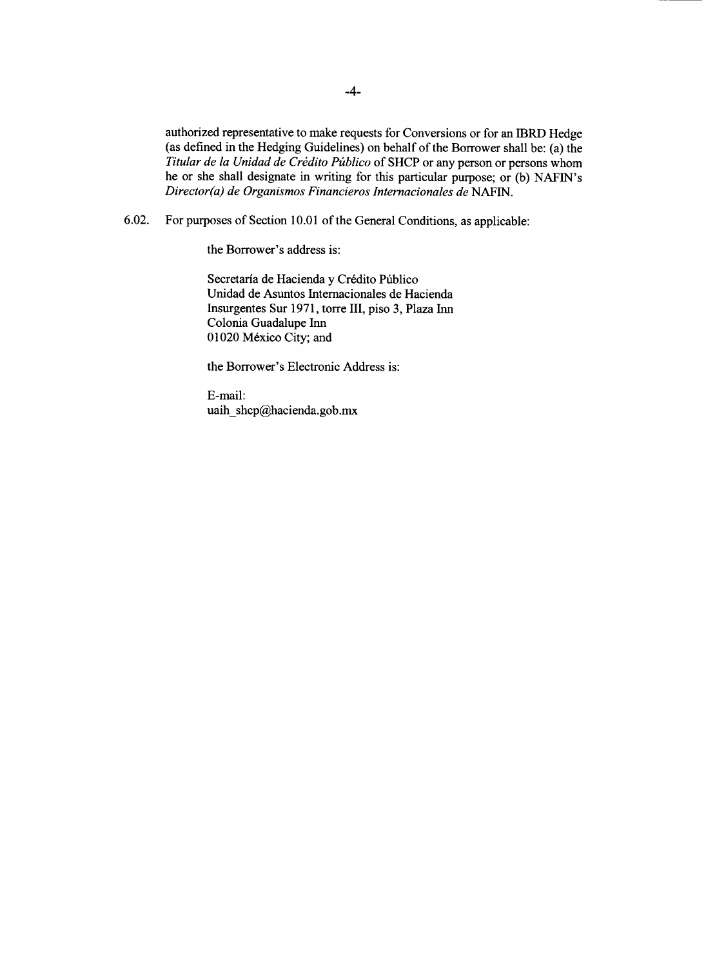authorized representative to make requests for Conversions or for an 1BRD Hedge (as defined in the Hedging Guidelines) on behalf of the Borrower shall be: (a) the *Titular de la Unidad de Crédito Público* of SHCP or any person or persons whom he or she shall designate in writing for this particular purpose; or **(b)** NAFIN's *Director(a) de Organismos Financieros Internacionales de* **NAFIN.**

**6.02.** For purposes of Section **10.01** of the General Conditions, as applicable:

the Borrower's address is:

Secretaría de Hacienda y Crédito Público Unidad de Asuntos Internacionales de Hacienda Insurgentes Sur **1971,** torre III, piso **3,** Plaza Inn Colonia Guadalupe Inn **01020** M6xico City; and

the Borrower's Electronic Address is:

E-mail: uaih shcp@hacienda.gob.mx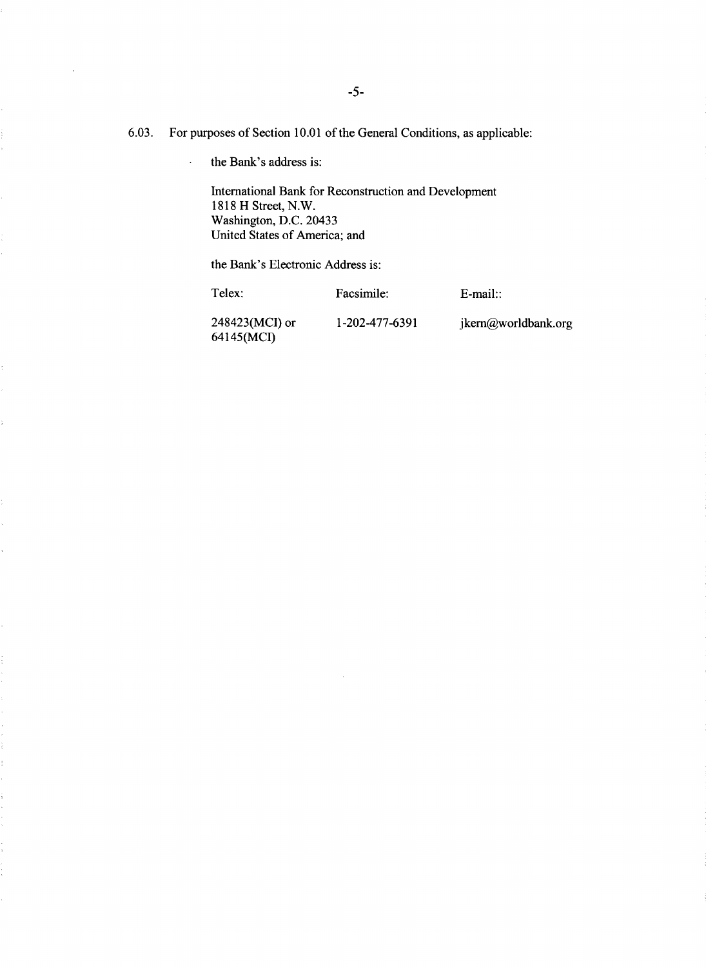**6.03.** For purposes of Section **10.01** of the General Conditions, as applicable:

the Bank's address is:  $\ddot{\phantom{a}}$ 

> International Bank for Reconstruction and Development **1818** H Street, N.W. Washington, **D.C.** 20433 United States of America; and

the Bank's Electronic Address is:

ţ.

Telex: Facsimile: E-mail::

248423(MCI) or **1-202-477-6391** jkem@worldbank.org 64145(MCI)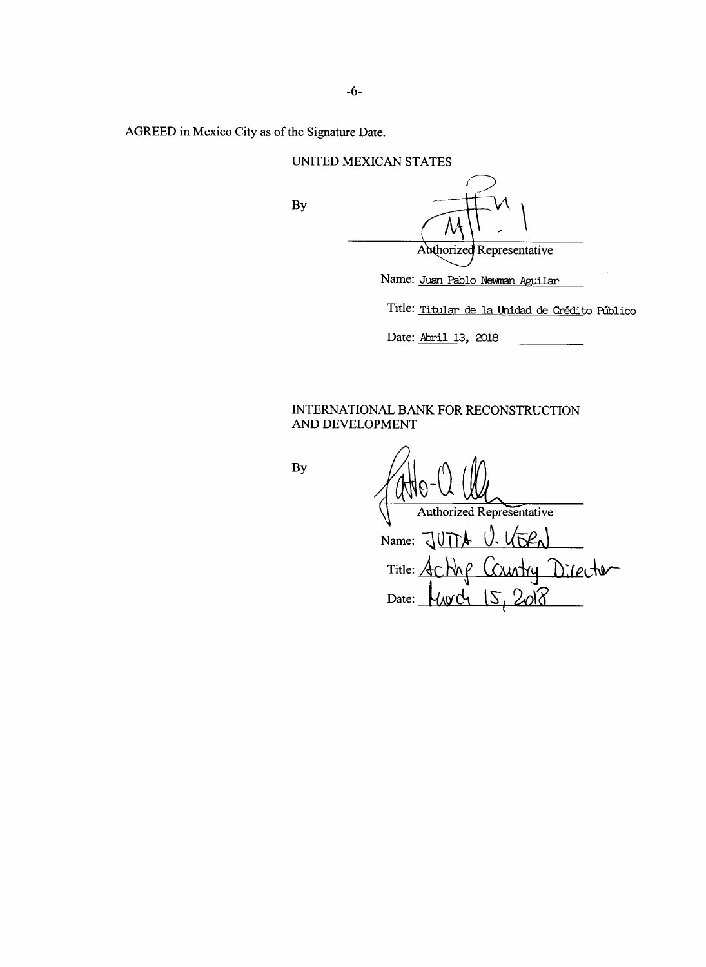AGREED in Mexico City as of the Signature Date.

|  | UNITED MEXICAN STATES |  |
|--|-----------------------|--|
|--|-----------------------|--|

**By**

|                                                        | Authorized Representative |  |  |
|--------------------------------------------------------|---------------------------|--|--|
|                                                        |                           |  |  |
| Name: Juan Pablo Newman Aguilar                        |                           |  |  |
| Title: <u>Titular de la Unidad de Crédit</u> o Público |                           |  |  |

Date: Abril **13, 2018**

# **INTERNATIONAL** BANK FOR **RECONSTRUCTION AND DEVELOPMENT**

**By**

MAO Authorized Representative Name: <u>JUTTA U. KTRN</u> Title: <u>ACNAP</u> COUNTY Director Date: <u>[40d | 5</u>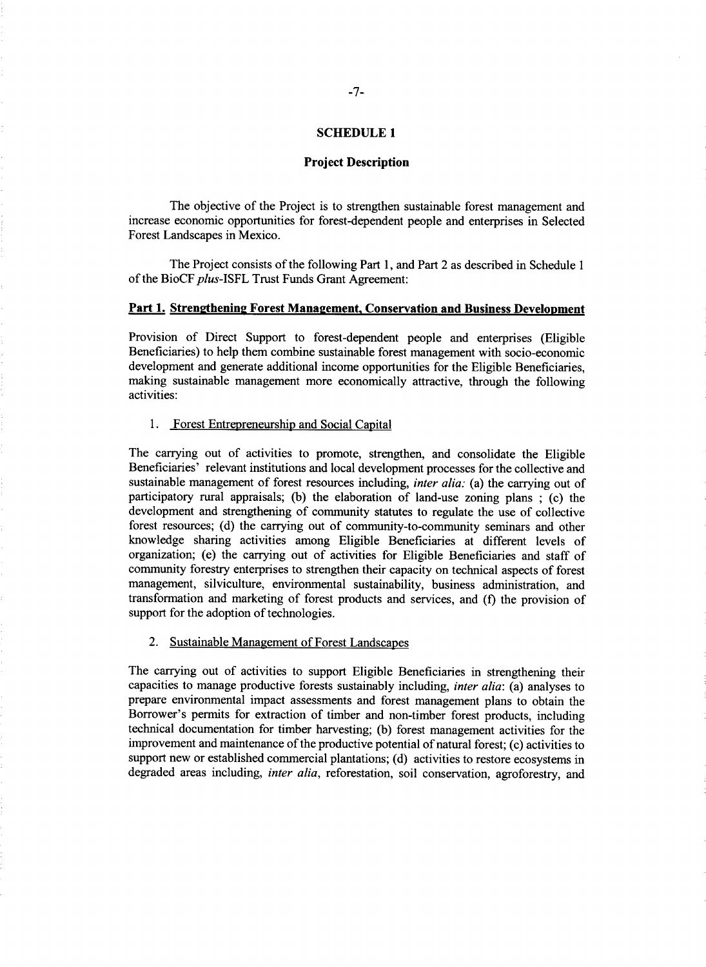## **SCHEDULE1**

#### **Project Description**

The objective of the Project is to strengthen sustainable forest management and increase economic opportunities for forest-dependent people and enterprises in Selected Forest Landscapes in Mexico.

The Project consists of the following Part **1,** and Part 2 as described in Schedule 1 of the BioCF plus-ISFL Trust Funds Grant Agreement:

# Part 1. Strengthening Forest Management, Conservation and Business Development

Provision of Direct Support to forest-dependent people and enterprises (Eligible Beneficiaries) to help them combine sustainable forest management with socio-economic development and generate additional income opportunities for the Eligible Beneficiaries, making sustainable management more economically attractive, through the following activities:

#### **1.** Forest Entrepreneurship and Social Capital

The carrying out of activities to promote, strengthen, and consolidate the Eligible Beneficiaries' relevant institutions and local development processes for the collective and sustainable management of forest resources including, *inter alia:* (a) the carrying out of participatory rural appraisals; **(b)** the elaboration of land-use zoning plans **;** (c) the development and strengthening of community statutes to regulate the use of collective forest resources; **(d)** the carrying out of community-to-community seminars and other knowledge sharing activities among Eligible Beneficiaries at different levels of organization; (e) the carrying out of activities for Eligible Beneficiaries and staff of community forestry enterprises to strengthen their capacity on technical aspects of forest management, silviculture, environmental sustainability, business administration, and transformation and marketing of forest products and services, and **(f)** the provision of support for the adoption of technologies.

#### 2. Sustainable Management of Forest Landscapes

The carrying out of activities to support Eligible Beneficiaries in strengthening their capacities to manage productive forests sustainably including, *inter alia:* (a) analyses to prepare environmental impact assessments and forest management plans to obtain the Borrower's permits for extraction of timber and non-timber forest products, including technical documentation for timber harvesting; **(b)** forest management activities for the improvement and maintenance of the productive potential of natural forest; (c) activities to support new or established commercial plantations; **(d)** activities to restore ecosystems in degraded areas including, *inter alia,* reforestation, soil conservation, agroforestry, and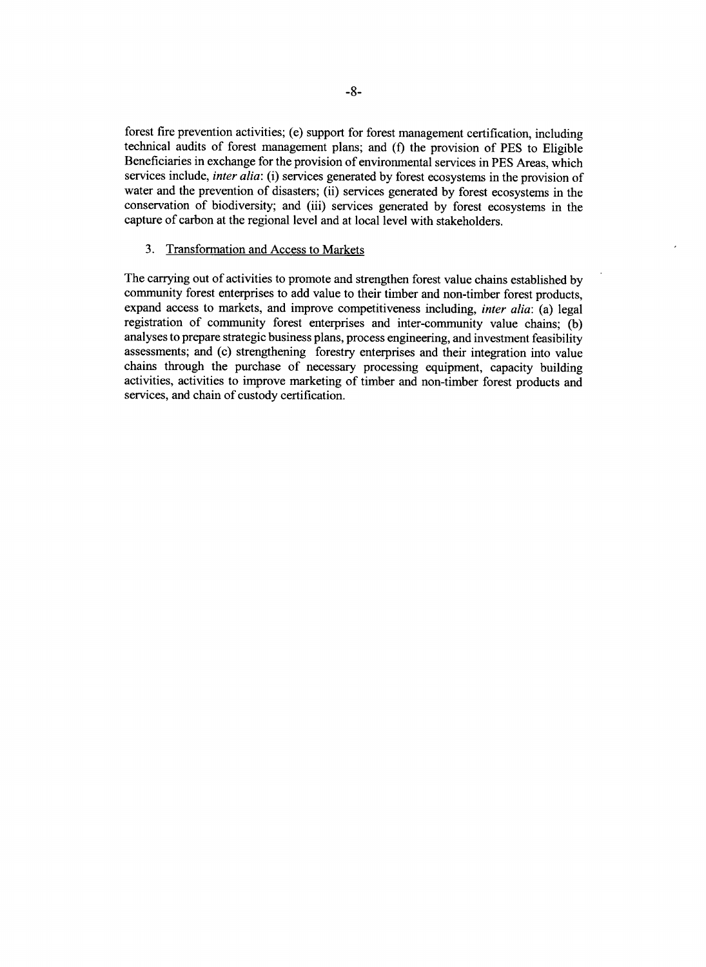forest fire prevention activities; (e) support for forest management certification, including technical audits of forest management plans; and **(f)** the provision of **PES** to Eligible Beneficiaries in exchange for the provision of environmental services in **PES** Areas, which services include, *inter alia:* (i) services generated **by** forest ecosystems in the provision of water and the prevention of disasters; (ii) services generated **by** forest ecosystems in the conservation of biodiversity; and (iii) services generated **by** forest ecosystems in the capture of carbon at the regional level and at local level with stakeholders.

# **3.** Transformation and Access to Markets

The carrying out of activities to promote and strengthen forest value chains established **by** community forest enterprises to add value to their timber and non-timber forest products, expand access to markets, and improve competitiveness including, *inter alia:* (a) legal registration of community forest enterprises and inter-community value chains; **(b)** analyses to prepare strategic business plans, process engineering, and investment feasibility assessments; and (c) strengthening forestry enterprises and their integration into value chains through the purchase of necessary processing equipment, capacity building activities, activities to improve marketing of timber and non-timber forest products and services, and chain of custody certification.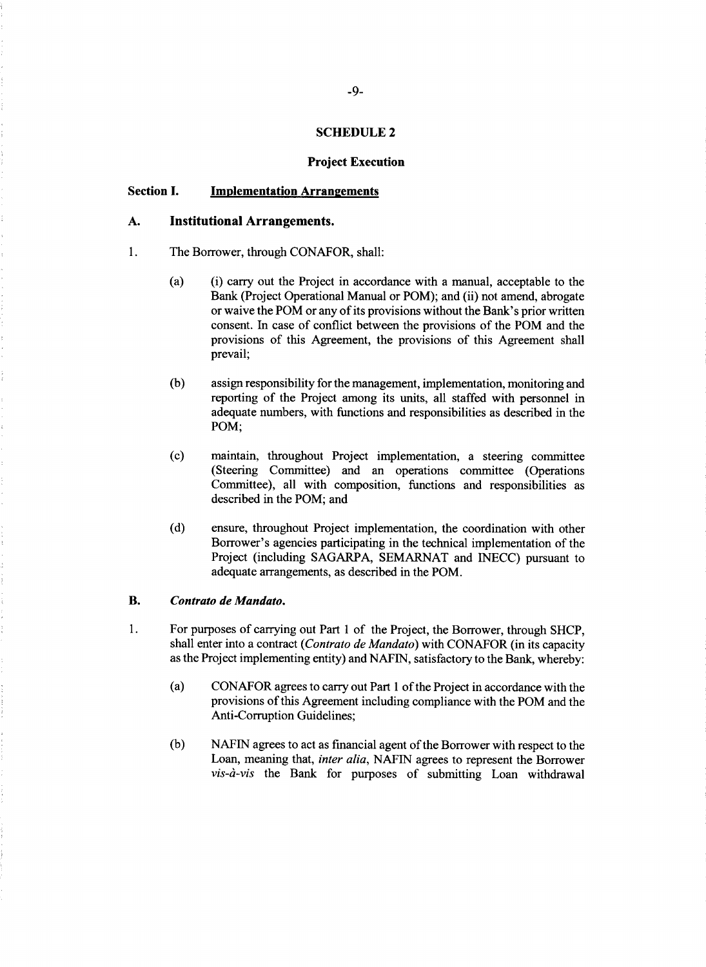#### **SCHEDULE 2**

#### **Project Execution**

# **Section I. Implementation Arrangements**

# **A. Institutional Arrangements.**

- 1. The Borrower, through **CONAFOR,** shall:
	- (a) (i) carry out the Project in accordance with a manual, acceptable to the Bank (Project Operational Manual or POM); and (ii) not amend, abrogate or waive the POM or any of its provisions without the Bank's prior written consent. In case of conflict between the provisions of the POM and the provisions of this Agreement, the provisions of this Agreement shall prevail;
	- **(b)** assign responsibility for the management, implementation, monitoring and reporting of the Project among its units, all staffed with personnel in adequate numbers, with functions and responsibilities as described in the **POM;**
	- (c) maintain, throughout Project implementation, a steering committee (Steering Committee) and an operations committee (Operations Committee), all with composition, functions and responsibilities as described in the POM; and
	- **(d)** ensure, throughout Project implementation, the coordination with other Borrower's agencies participating in the technical implementation of the Project (including **SAGARPA, SEMARNAT** and **INECC)** pursuant to adequate arrangements, as described in the POM.

#### **B.** *Contrato de Mandato.*

- 1. For purposes of carrying out Part 1 of the Project, the Borrower, through **SHCP,** shall enter into a contract *(Contrato de Mandato)* with **CONAFOR** (in its capacity as the Project implementing entity) and **NAFIN,** satisfactory to the Bank, whereby:
	- (a) **CONAFOR** agrees to carry out Part 1 of the Project in accordance with the provisions of this Agreement including compliance with the POM and the Anti-Corruption Guidelines;
	- **(b)** NAFIN agrees to act as financial agent of the Borrower with respect to the Loan, meaning that, *inter alia,* **NAFIN** agrees to represent the Borrower *vis-ai-vis* the Bank for purposes of submitting Loan withdrawal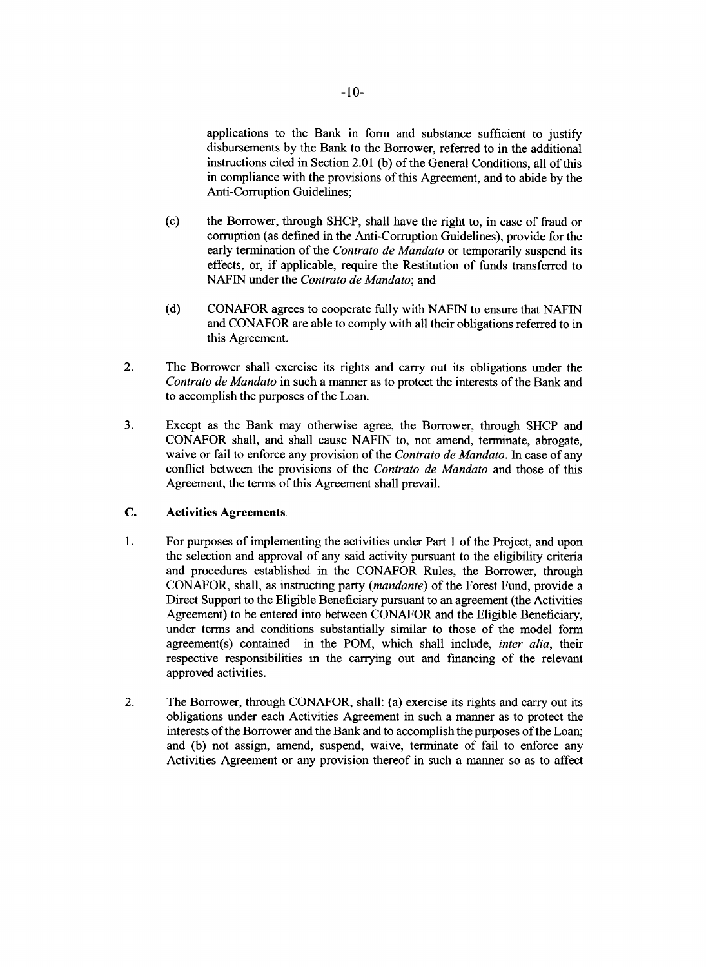applications to the Bank in form and substance sufficient to justify disbursements **by** the Bank to the Borrower, referred to in the additional instructions cited in Section 2.01 **(b)** of the General Conditions, all of this in compliance with the provisions of this Agreement, and to abide **by** the Anti-Corruption Guidelines;

- (c) the Borrower, through **SHCP,** shall have the right to, in case of fraud or corruption (as defined in the Anti-Corruption Guidelines), provide for the early termination of the *Contrato de Mandato* or temporarily suspend its effects, or, if applicable, require the Restitution of funds transferred to **NAFIN** under the *Contrato de Mandato; and*
- **(d) CONAFOR** agrees to cooperate fully with **NAFIN** to ensure that NAFIN and **CONAFOR** are able to comply with all their obligations referred to in this Agreement.
- 2. The Borrower shall exercise its rights and carry out its obligations under the *Contrato de Mandato* in such a manner as to protect the interests of the Bank and to accomplish the purposes of the Loan.
- **3.** Except as the Bank may otherwise agree, the Borrower, through **SHCP** and **CONAFOR** shall, and shall cause **NAFIN** to, not amend, terminate, abrogate, waive or fail to enforce any provision of the *Contrato de Mandato.* In case of any conflict between the provisions of the *Contrato de Mandato* and those of this Agreement, the terms of this Agreement shall prevail.

# **C.** Activities **Agreements.**

- 1. For purposes of implementing the activities under Part 1 of the Project, and upon the selection and approval of any said activity pursuant to the eligibility criteria and procedures established in the **CONAFOR** Rules, the Borrower, through **CONAFOR,** shall, as instructing party *(mandante)* of the Forest Fund, provide a Direct Support to the Eligible Beneficiary pursuant to an agreement (the Activities Agreement) to be entered into between **CONAFOR** and the Eligible Beneficiary, under terms and conditions substantially similar to those of the model form agreement(s) contained in the POM, which shall include, *inter alia,* their respective responsibilities in the carrying out and financing of the relevant approved activities.
- 2. The Borrower, through **CONAFOR,** shall: (a) exercise its rights and carry out its obligations under each Activities Agreement in such a manner as to protect the interests of the Borrower and the Bank and to accomplish the purposes of the Loan; and **(b)** not assign, amend, suspend, waive, terminate of fail to enforce any Activities Agreement or any provision thereof in such a manner so as to affect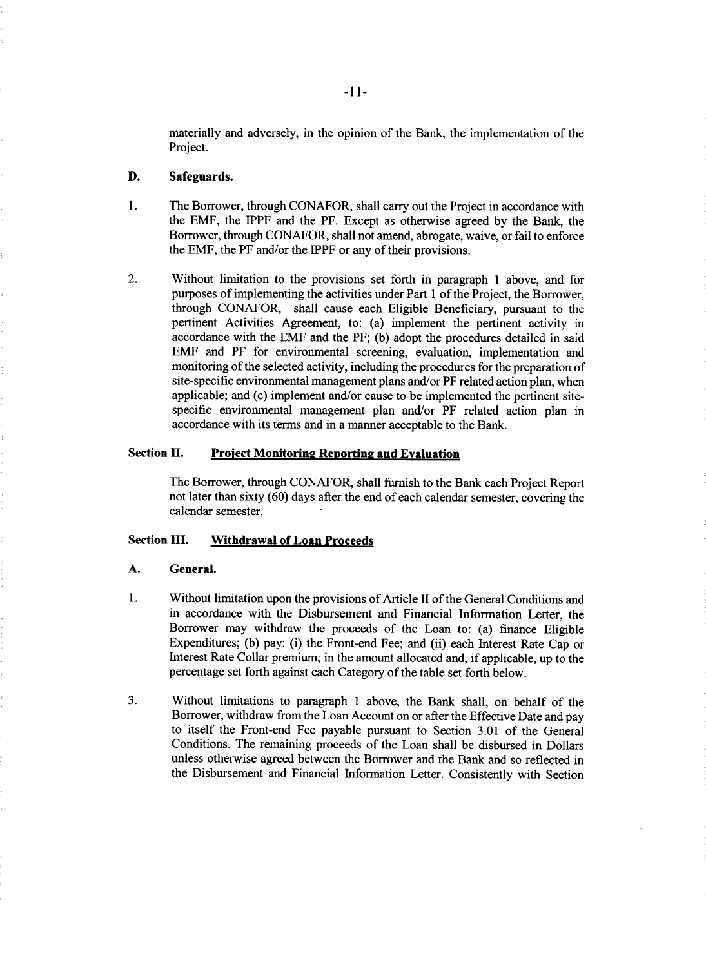materially and adversely, in the opinion of the Bank, the implementation of the Project.

# **D.** Safeguards.

- 1. The Borrower, through **CONAFOR,** shall carry out the Project in accordance with the EMF, the IPPF and the PF. Except as otherwise agreed **by** the Bank, the Borrower, through **CONAFOR,** shall not amend, abrogate, waive, or fail to enforce the EMF, the PF and/or the IPPF or any of their provisions.
- 2. Without limitation to the provisions set forth in paragraph 1 above, and for purposes of implementing the activities under Part 1 of the Project, the Borrower, through **CONAFOR,** shall cause each Eligible Beneficiary, pursuant to the pertinent Activities Agreement, to: (a) implement the pertinent activity in accordance with the EMF and the PF; **(b)** adopt the procedures detailed in said EMF and PF for environmental screening, evaluation, implementation and monitoring of the selected activity, including the procedures for the preparation of site-specific environmental management plans and/or PF related action plan, when applicable; and (c) implement and/or cause to be implemented the pertinent sitespecific environmental management plan and/or PF related action plan in accordance with its terms and in a manner acceptable to the Bank.

#### Section H. **Project Monitoring Reporting and Evaluation**

The Borrower, through **CONAFOR,** shall furnish to the Bank each Project Report not later than sixty **(60)** days after the end of each calendar semester, covering the calendar semester.

#### Section **III. Withdrawal of Loan Proceeds**

#### **A. General.**

- 1. Without limitation upon the provisions of Article II of the General Conditions and in accordance with the Disbursement and Financial Information Letter, the Borrower may withdraw the proceeds of the Loan to: (a) finance Eligible Expenditures; **(b)** pay: (i) the Front-end Fee; and (ii) each Interest Rate Cap or Interest Rate Collar premium; in the amount allocated and, if applicable, up to the percentage set forth against each Category of the table set forth below.
- **3.** Without limitations to paragraph 1 above, the Bank shall, on behalf of the Borrower, withdraw from the Loan Account on or after the Effective Date and pay to itself the Front-end Fee payable pursuant to Section **3.01** of the General Conditions. The remaining proceeds of the Loan shall be disbursed in Dollars unless otherwise agreed between the Borrower and the Bank and so reflected in the Disbursement and Financial Information Letter. Consistently with Section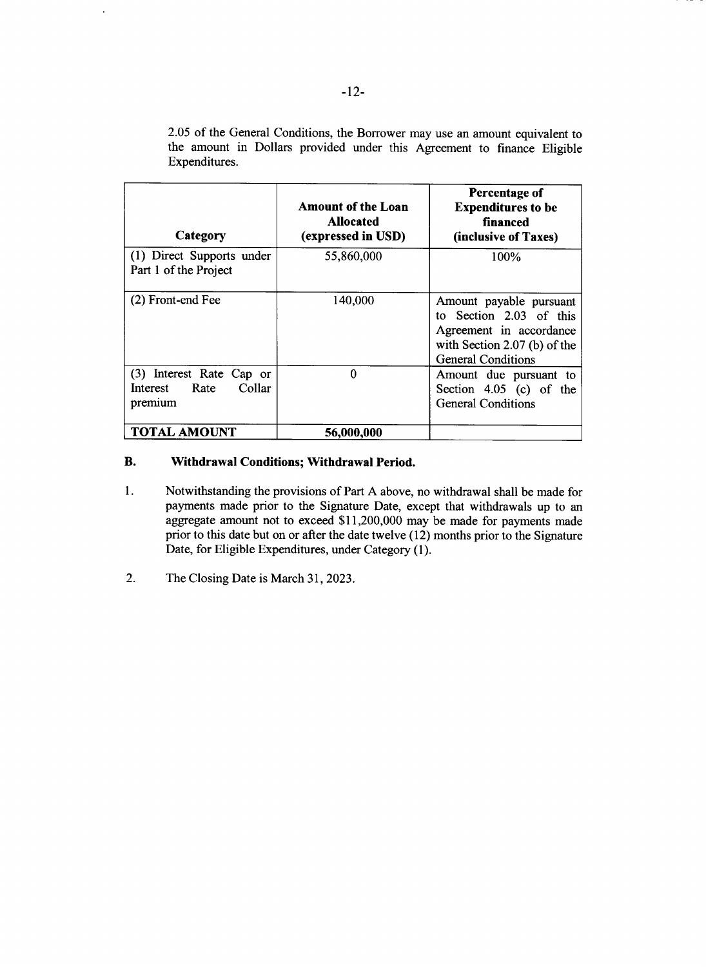| Category                                                       | <b>Amount of the Loan</b><br><b>Allocated</b><br>(expressed in USD) | <b>Percentage of</b><br><b>Expenditures to be</b><br>financed<br>(inclusive of Taxes)                                                      |
|----------------------------------------------------------------|---------------------------------------------------------------------|--------------------------------------------------------------------------------------------------------------------------------------------|
| (1) Direct Supports under<br>Part 1 of the Project             | 55,860,000                                                          | 100%                                                                                                                                       |
| (2) Front-end Fee                                              | 140,000                                                             | Amount payable pursuant<br>to Section 2.03 of this<br>Agreement in accordance<br>with Section 2.07 (b) of the<br><b>General Conditions</b> |
| (3) Interest Rate Cap or<br>Collar<br>Interest Rate<br>premium | 0                                                                   | Amount due pursuant to<br>Section $4.05$ (c) of the<br><b>General Conditions</b>                                                           |
| TOTAL AMOUNT                                                   | 56,000,000                                                          |                                                                                                                                            |

**2.05** of the General Conditions, the Borrower may use an amount equivalent to the amount in Dollars provided under this Agreement to finance Eligible Expenditures.

# **B. Withdrawal Conditions; Withdrawal Period.**

- 1. Notwithstanding the provisions of Part **A** above, no withdrawal shall **be** made for payments made prior to the Signature Date, except that withdrawals up to an aggregate amount not to exceed \$11,200,000 may be made for payments made prior to this date but on or after the date twelve (12) months prior to the Signature Date, for Eligible Expenditures, under Category **(1).**
- 2. The Closing Date is March **31, 2023.**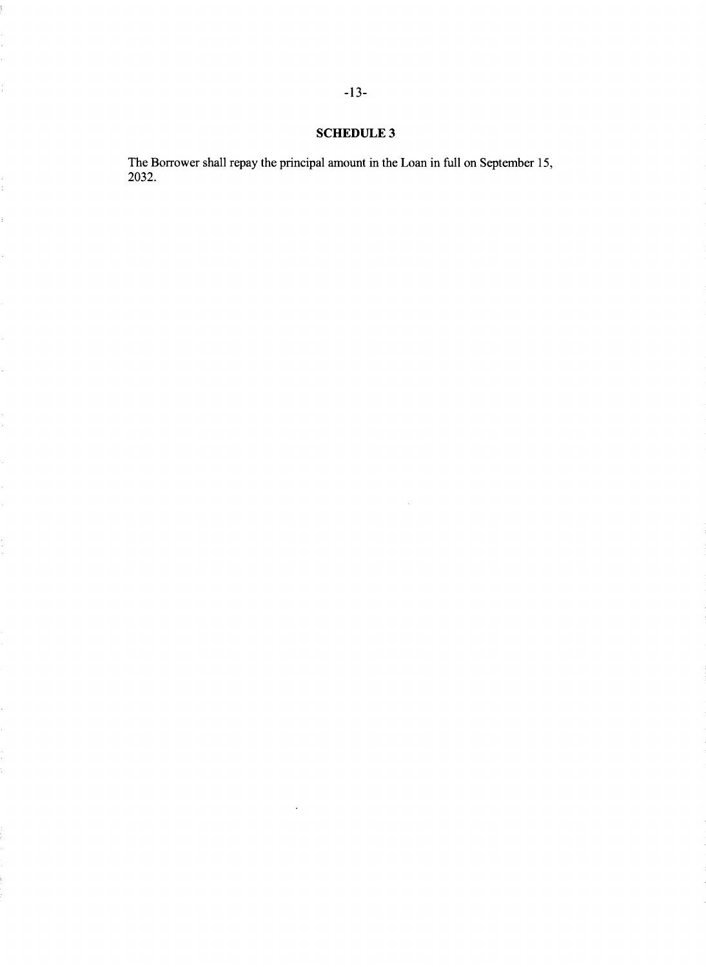# **SCHEDULE** 3

 $\bar{z}$ 

The Borrower shall repay the principal amount in the Loan in full on September **15, 2032.**

 $\ddot{\ddot{z}}$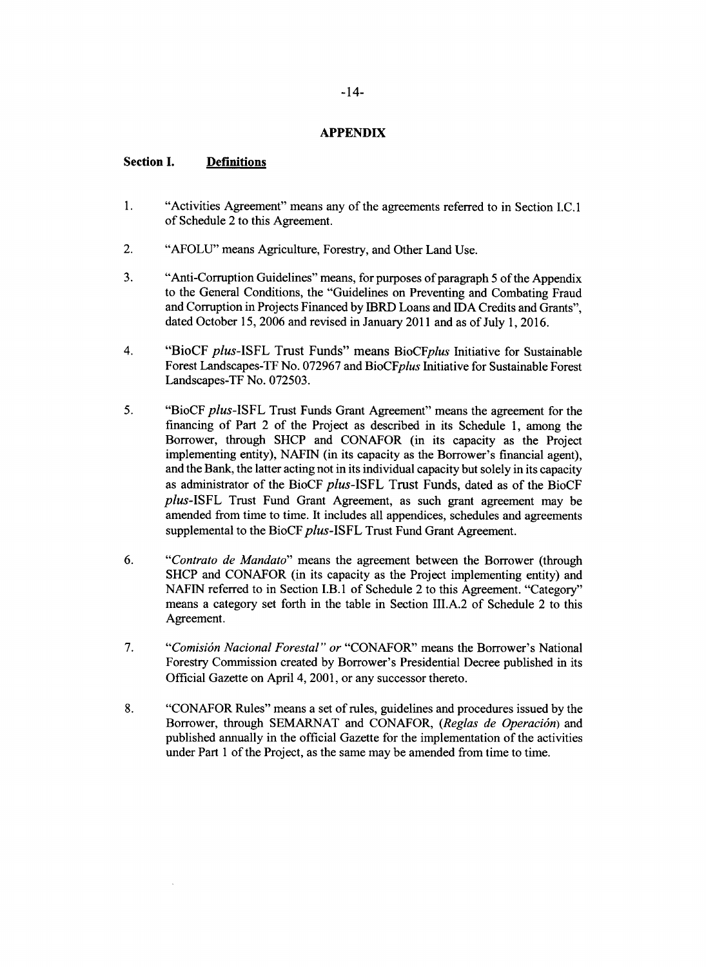# **APPENDIX**

# **Section I. Definitions**

- 1. "Activities Agreement" means any of the agreements referred to in Section **I.C.** 1 of Schedule 2 to this Agreement.
- 2. **"AFOLU"** means Agriculture, Forestry, and Other Land Use.
- **3.** "Anti-Corruption Guidelines" means, for purposes of paragraph *5* of the Appendix to the General Conditions, the "Guidelines on Preventing and Combating Fraud and Corruption in Projects Financed **by** IBRD Loans and **IDA** Credits and Grants", dated October **15, 2006** and revised in January 2011 and as of July **1, 2016.**
- *4.* **"BioCF** *plus-ISFL* Trust Funds" means *BioCFplus* Initiative for Sustainable Forest Landscapes-TF No. **072967** and *BioCFplus* Initiative for Sustainable Forest Landscapes-TF No. *072503.*
- *5.* "BioCF *plus-ISFL* Trust Funds Grant Agreement" means the agreement for the financing of Part 2 of the Project as described in its Schedule **1,** among the Borrower, through **SHCP** and **CONAFOR** (in its capacity as the Project implementing entity), **NAFIN** (in its capacity as the Borrower's financial agent), and the Bank, the latter acting not in its individual capacity but solely in its capacity as administrator of the BioCF *plus-ISFL* Trust Funds, dated as of the BioCF *plus-ISFL* Trust Fund Grant Agreement, as such grant agreement may be amended from time to time. It includes all appendices, schedules and agreements supplemental to the BioCF plus-ISFL Trust Fund Grant Agreement.
- **6.** *"Contrato de Mandato"* means the agreement between the Borrower (through **SHCP** and **CONAFOR** (in its capacity as the Project implementing entity) and **NAFIN** referred to in Section I.B.1 of Schedule 2 to this Agreement. "Category" means a category set forth in the table in Section **III.A.2** of Schedule 2 to this Agreement.
- *7. "Comisidn Nacional Forestal" or* **"CONAFOR"** means the Borrower's National Forestry Commission created **by** Borrower's Presidential Decree published in its Official Gazette on April 4, **2001,** or any successor thereto.
- **8. "CONAFOR** Rules" means a set of rules, guidelines and procedures issued **by** the Borrower, through **SEMARNAT** and **CONAFOR,** *(Reglas de Operaci6n) and* published annually in the official Gazette for the implementation of the activities under Part 1 of the Project, as the same may be amended from time to time.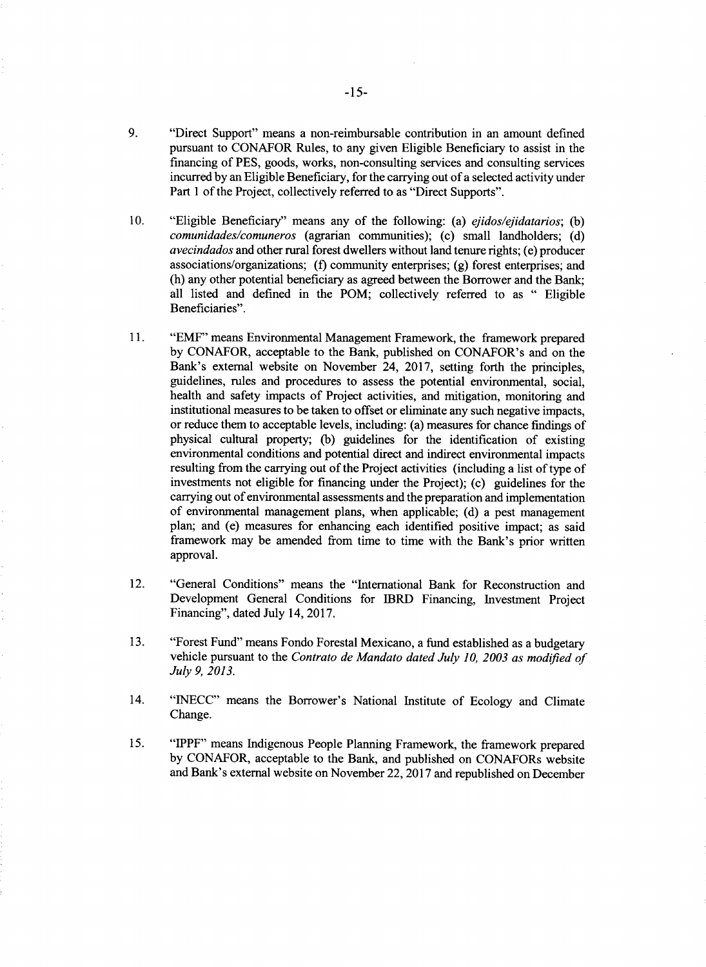- **9.** "Direct Support" means a non-reimbursable contribution in an amount defined pursuant to **CONAFOR** Rules, to any given Eligible Beneficiary to assist in the financing of **PES,** goods, works, non-consulting services and consulting services incurred **by** an Eligible Beneficiary, for the carrying out of a selected activity under Part 1 of the Project, collectively referred to as "Direct Supports".
- **10.** "Eligible Beneficiary" means any of the following: (a) *ejidos/ejidatarios; (b) comunidades/comuneros* (agrarian communities); (c) small landholders; **(d)** *avecindados* and other rural forest dwellers without land tenure rights; (e) producer associations/organizations; **(f)** community enterprises; **(g)** forest enterprises; and (h) any other potential beneficiary as agreed between the Borrower and the Bank; all listed and defined in the POM; collectively referred to as **"** Eligible Beneficiaries".
- **11.** "EMF" means Environmental Management Framework, the framework prepared **by CONAFOR,** acceptable to the Bank, published on CONAFOR's and on the Bank's external website on November 24, **2017,** setting forth the principles, guidelines, rules and procedures to assess the potential environmental, social, health and safety impacts of Project activities, and mitigation, monitoring and institutional measures to be taken to offset or eliminate any such negative impacts, or reduce them to acceptable levels, including: (a) measures for chance findings of physical cultural property; **(b)** guidelines for the identification of existing environmental conditions and potential direct and indirect environmental impacts resulting from the carrying out of the Project activities (including a list of type of investments not eligible for financing under the Project); (c) guidelines for the carrying out of environmental assessments and the preparation and implementation of environmental management plans, when applicable; **(d)** a pest management plan; and (e) measures for enhancing each identified positive impact; as said framework may be amended from time to time with the Bank's prior written approval.
- 12. "General Conditions" means the "International Bank for Reconstruction and Development General Conditions for IBRD Financing, Investment Project Financing", dated July 14, **2017.**
- **13.** "Forest Fund" means Fondo Forestal Mexicano, a fund established as a budgetary vehicle pursuant to the *Contrato de Mandato dated July 10, 2003 as modified of July 9, 2013.*
- 14. **"INECC"** means the Borrower's National Institute of Ecology and Climate Change.
- *15.* "IPPF" means Indigenous People Planning Framework, the framework prepared **by CONAFOR,** acceptable to the Bank, and published on CONAFORs website and Bank's external website on November 22, **2017** and republished on December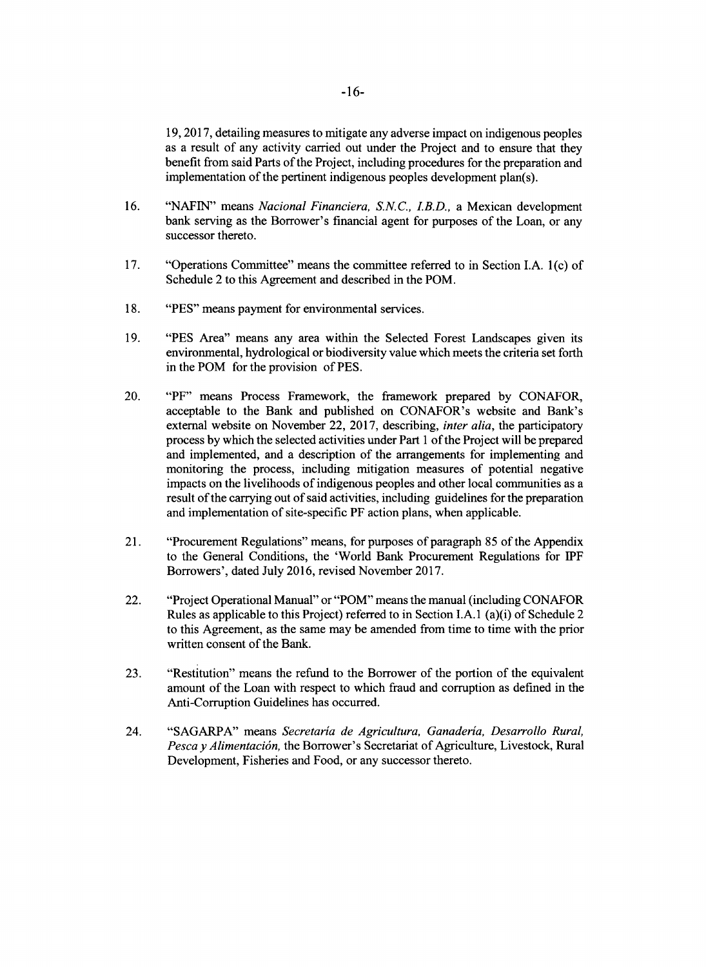**19, 2017,** detailing measures to mitigate any adverse impact on indigenous peoples as a result of any activity carried out under the Project and to ensure that they benefit from said Parts of the Project, including procedures for the preparation and implementation of the pertinent indigenous peoples development plan(s).

- **16.** "NAFIN" means *Nacional Financiera, S.N.C., I.B.D.,* a Mexican development bank serving as the Borrower's financial agent for purposes of the Loan, or any successor thereto.
- **17.** "Operations Committee" means the committee referred to in Section **I.A.** 1(c) of Schedule 2 to this Agreement and described in the POM.
- **18. "PES"** means payment for environmental services.
- **19. "PES** Area" means any area within the Selected Forest Landscapes given its environmental, hydrological or biodiversity value which meets the criteria set forth in the POM for the provision of **PES.**
- 20. "PF" means Process Framework, the framework prepared **by CONAFOR,** acceptable to the Bank and published on CONAFOR's website and Bank's external website on November 22, **2017,** describing, *inter alia,* the participatory process **by** which the selected activities under Part **I** of the Project will be prepared and implemented, and a description of the arrangements for implementing and monitoring the process, including mitigation measures of potential negative impacts on the livelihoods of indigenous peoples and other local communities as a result of the carrying out of said activities, including guidelines for the preparation and implementation of site-specific PF action plans, when applicable.
- 21. "Procurement Regulations" means, for purposes of paragraph **85** of the Appendix to the General Conditions, the 'World Bank Procurement Regulations for IPF Borrowers', dated July **2016,** revised November **2017.**
- 22. "Project Operational Manual" or "POM" means the manual (including **CONAFOR** Rules as applicable to this Project) referred to in Section **I.A.** 1 (a)(i) of Schedule 2 to this Agreement, as the same may be amended from time to time with the prior written consent of the Bank.
- **23.** "Restitution" means the refund to the Borrower of the portion of the equivalent amount of the Loan with respect to which fraud and corruption as defined in the Anti-Corruption Guidelines has occurred.
- 24. **"SAGARPA"** means *Secretaria de Agricultura, Ganaderia, Desarrollo Rural, Pesca y Alimentaci6n,* the Borrower's Secretariat of Agriculture, Livestock, Rural Development, Fisheries and Food, or any successor thereto.